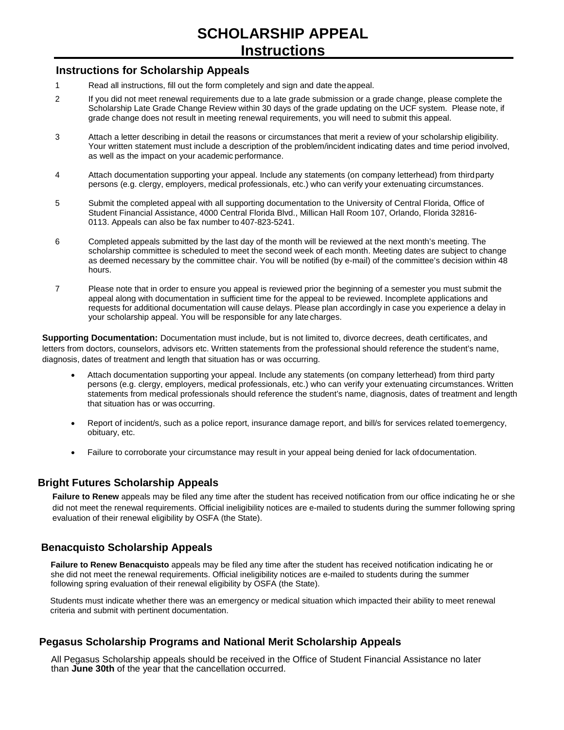### **Instructions for Scholarship Appeals**

- 1 Read all instructions, fill out the form completely and sign and date theappeal.
- 2 If you did not meet renewal requirements due to a late grade submission or a grade change, please complete the Scholarship Late Grade Change Review within 30 days of the grade updating on the UCF system. Please note, if grade change does not result in meeting renewal requirements, you will need to submit this appeal.
- 3 Attach a letter describing in detail the reasons or circumstances that merit a review of your scholarship eligibility. Your written statement must include a description of the problem/incident indicating dates and time period involved, as well as the impact on your academic performance.
- 4 Attach documentation supporting your appeal. Include any statements (on company letterhead) from thirdparty persons (e.g. clergy, employers, medical professionals, etc.) who can verify your extenuating circumstances.
- 5 Submit the completed appeal with all supporting documentation to the University of Central Florida, Office of Student Financial Assistance, 4000 Central Florida Blvd., Millican Hall Room 107, Orlando, Florida 32816- 0113. Appeals can also be fax number to 407-823-5241.
- 6 Completed appeals submitted by the last day of the month will be reviewed at the next month's meeting. The scholarship committee is scheduled to meet the second week of each month. Meeting dates are subject to change as deemed necessary by the committee chair. You will be notified (by e-mail) of the committee's decision within 48 hours.
- 7 Please note that in order to ensure you appeal is reviewed prior the beginning of a semester you must submit the appeal along with documentation in sufficient time for the appeal to be reviewed. Incomplete applications and requests for additional documentation will cause delays. Please plan accordingly in case you experience a delay in your scholarship appeal. You will be responsible for any late charges.

**Supporting Documentation:** Documentation must include, but is not limited to, divorce decrees, death certificates, and letters from doctors, counselors, advisors etc. Written statements from the professional should reference the student's name, diagnosis, dates of treatment and length that situation has or was occurring.

- Attach documentation supporting your appeal. Include any statements (on company letterhead) from third party persons (e.g. clergy, employers, medical professionals, etc.) who can verify your extenuating circumstances. Written statements from medical professionals should reference the student's name, diagnosis, dates of treatment and length that situation has or was occurring.
- Report of incident/s, such as a police report, insurance damage report, and bill/s for services related toemergency, obituary, etc.
- Failure to corroborate your circumstance may result in your appeal being denied for lack ofdocumentation.

## **Bright Futures Scholarship Appeals**

**Failure to Renew** appeals may be filed any time after the student has received notification from our office indicating he or she did not meet the renewal requirements. Official ineligibility notices are e-mailed to students during the summer following spring evaluation of their renewal eligibility by OSFA (the State).

## **Benacquisto Scholarship Appeals**

**Failure to Renew Benacquisto** appeals may be filed any time after the student has received notification indicating he or she did not meet the renewal requirements. Official ineligibility notices are e-mailed to students during the summer following spring evaluation of their renewal eligibility by OSFA (the State).

Students must indicate whether there was an emergency or medical situation which impacted their ability to meet renewal criteria and submit with pertinent documentation.

## **Pegasus Scholarship Programs and National Merit Scholarship Appeals**

All Pegasus Scholarship appeals should be received in the Office of Student Financial Assistance no later than **June 30th** of the year that the cancellation occurred.